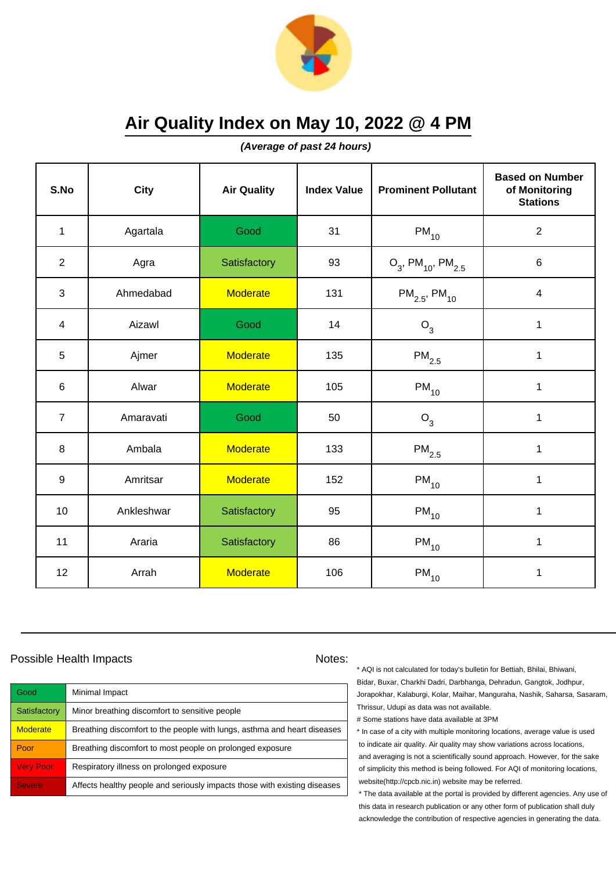

**(Average of past 24 hours)**

| S.No           | <b>City</b> | <b>Air Quality</b> | <b>Index Value</b> | <b>Prominent Pollutant</b>                   | <b>Based on Number</b><br>of Monitoring<br><b>Stations</b> |
|----------------|-------------|--------------------|--------------------|----------------------------------------------|------------------------------------------------------------|
| $\mathbf{1}$   | Agartala    | Good               | 31                 | $PM_{10}$                                    | $\sqrt{2}$                                                 |
| $\overline{2}$ | Agra        | Satisfactory       | 93                 | $O_3$ , PM <sub>10</sub> , PM <sub>2.5</sub> | 6                                                          |
| 3              | Ahmedabad   | <b>Moderate</b>    | 131                | $PM_{2.5}$ , PM <sub>10</sub>                | $\overline{\mathbf{4}}$                                    |
| $\overline{4}$ | Aizawl      | Good               | 14                 | $O_3$                                        | $\mathbf{1}$                                               |
| 5              | Ajmer       | <b>Moderate</b>    | 135                | $\mathsf{PM}_{2.5}$                          | $\mathbf 1$                                                |
| 6              | Alwar       | <b>Moderate</b>    | 105                | $PM_{10}$                                    | 1                                                          |
| $\overline{7}$ | Amaravati   | Good               | 50                 | $O_3$                                        | $\mathbf{1}$                                               |
| 8              | Ambala      | <b>Moderate</b>    | 133                | $PM_{2.5}$                                   | $\mathbf 1$                                                |
| 9              | Amritsar    | <b>Moderate</b>    | 152                | $PM_{10}$                                    | 1                                                          |
| 10             | Ankleshwar  | Satisfactory       | 95                 | $\mathsf{PM}_{10}$                           | $\mathbf 1$                                                |
| 11             | Araria      | Satisfactory       | 86                 | $PM_{10}$                                    | $\mathbf 1$                                                |
| 12             | Arrah       | <b>Moderate</b>    | 106                | $PM_{10}$                                    | 1                                                          |

### Possible Health Impacts Notes:

| Good             | Minimal Impact                                                            |
|------------------|---------------------------------------------------------------------------|
| Satisfactory     | Minor breathing discomfort to sensitive people                            |
| <b>Moderate</b>  | Breathing discomfort to the people with lungs, asthma and heart diseases  |
| Poor             | Breathing discomfort to most people on prolonged exposure                 |
| <b>Very Poor</b> | Respiratory illness on prolonged exposure                                 |
| <b>Severe</b>    | Affects healthy people and seriously impacts those with existing diseases |

\* AQI is not calculated for today's bulletin for Bettiah, Bhilai, Bhiwani, Bidar, Buxar, Charkhi Dadri, Darbhanga, Dehradun, Gangtok, Jodhpur, Jorapokhar, Kalaburgi, Kolar, Maihar, Manguraha, Nashik, Saharsa, Sasaram, Thrissur, Udupi as data was not available.

# Some stations have data available at 3PM

\* In case of a city with multiple monitoring locations, average value is used to indicate air quality. Air quality may show variations across locations, and averaging is not a scientifically sound approach. However, for the sake of simplicity this method is being followed. For AQI of monitoring locations, website(http://cpcb.nic.in) website may be referred.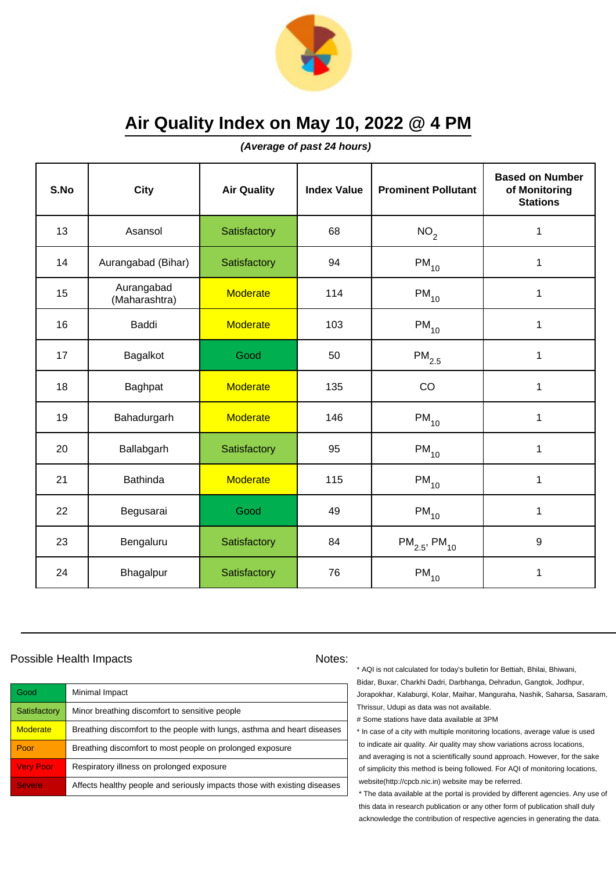

**(Average of past 24 hours)**

| S.No | <b>City</b>                 | <b>Air Quality</b> | <b>Index Value</b> | <b>Prominent Pollutant</b>    | <b>Based on Number</b><br>of Monitoring<br><b>Stations</b> |
|------|-----------------------------|--------------------|--------------------|-------------------------------|------------------------------------------------------------|
| 13   | Asansol                     | Satisfactory       | 68                 | NO <sub>2</sub>               | 1                                                          |
| 14   | Aurangabad (Bihar)          | Satisfactory       | 94                 | $PM_{10}$                     | 1                                                          |
| 15   | Aurangabad<br>(Maharashtra) | <b>Moderate</b>    | 114                | $\mathsf{PM}_{10}$            | 1                                                          |
| 16   | <b>Baddi</b>                | <b>Moderate</b>    | 103                | $PM_{10}$                     | 1                                                          |
| 17   | Bagalkot                    | Good               | 50                 | $PM_{2.5}$                    | 1                                                          |
| 18   | Baghpat                     | <b>Moderate</b>    | 135                | CO                            | 1                                                          |
| 19   | Bahadurgarh                 | <b>Moderate</b>    | 146                | $PM_{10}$                     | 1                                                          |
| 20   | Ballabgarh                  | Satisfactory       | 95                 | $PM_{10}$                     | 1                                                          |
| 21   | <b>Bathinda</b>             | <b>Moderate</b>    | 115                | $PM_{10}$                     | 1                                                          |
| 22   | Begusarai                   | Good               | 49                 | $PM_{10}$                     | 1                                                          |
| 23   | Bengaluru                   | Satisfactory       | 84                 | $PM_{2.5}$ , PM <sub>10</sub> | 9                                                          |
| 24   | Bhagalpur                   | Satisfactory       | 76                 | $PM_{10}$                     | 1                                                          |

### Possible Health Impacts Notes:

| Good             | Minimal Impact                                                            |
|------------------|---------------------------------------------------------------------------|
| Satisfactory     | Minor breathing discomfort to sensitive people                            |
| <b>Moderate</b>  | Breathing discomfort to the people with lungs, asthma and heart diseases  |
| Poor             | Breathing discomfort to most people on prolonged exposure                 |
| <b>Very Poor</b> | Respiratory illness on prolonged exposure                                 |
| <b>Severe</b>    | Affects healthy people and seriously impacts those with existing diseases |

\* AQI is not calculated for today's bulletin for Bettiah, Bhilai, Bhiwani, Bidar, Buxar, Charkhi Dadri, Darbhanga, Dehradun, Gangtok, Jodhpur, Jorapokhar, Kalaburgi, Kolar, Maihar, Manguraha, Nashik, Saharsa, Sasaram, Thrissur, Udupi as data was not available.

# Some stations have data available at 3PM

\* In case of a city with multiple monitoring locations, average value is used to indicate air quality. Air quality may show variations across locations, and averaging is not a scientifically sound approach. However, for the sake of simplicity this method is being followed. For AQI of monitoring locations, website(http://cpcb.nic.in) website may be referred.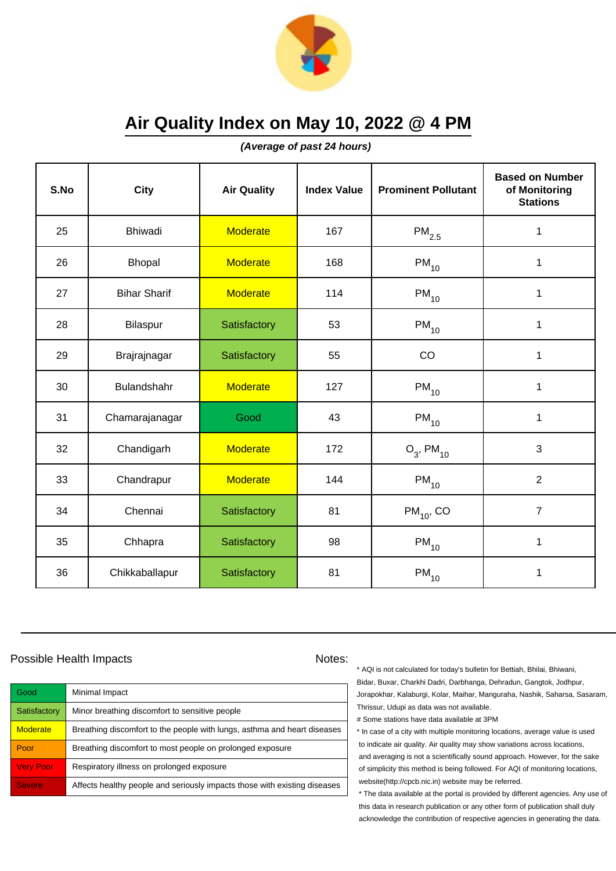

**(Average of past 24 hours)**

| S.No | <b>City</b>         | <b>Air Quality</b> | <b>Index Value</b> | <b>Prominent Pollutant</b> | <b>Based on Number</b><br>of Monitoring<br><b>Stations</b> |
|------|---------------------|--------------------|--------------------|----------------------------|------------------------------------------------------------|
| 25   | <b>Bhiwadi</b>      | <b>Moderate</b>    | 167                | $\mathsf{PM}_{2.5}$        | $\mathbf 1$                                                |
| 26   | Bhopal              | <b>Moderate</b>    | 168                | $PM_{10}$                  | $\mathbf 1$                                                |
| 27   | <b>Bihar Sharif</b> | <b>Moderate</b>    | 114                | $PM_{10}$                  | 1                                                          |
| 28   | Bilaspur            | Satisfactory       | 53                 | $PM_{10}$                  | 1                                                          |
| 29   | Brajrajnagar        | Satisfactory       | 55                 | CO                         | $\mathbf{1}$                                               |
| 30   | Bulandshahr         | <b>Moderate</b>    | 127                | $PM_{10}$                  | 1                                                          |
| 31   | Chamarajanagar      | Good               | 43                 | $PM_{10}$                  | 1                                                          |
| 32   | Chandigarh          | <b>Moderate</b>    | 172                | $O_3$ , PM <sub>10</sub>   | 3                                                          |
| 33   | Chandrapur          | <b>Moderate</b>    | 144                | $PM_{10}$                  | $\overline{2}$                                             |
| 34   | Chennai             | Satisfactory       | 81                 | $PM_{10}$ , CO             | $\overline{7}$                                             |
| 35   | Chhapra             | Satisfactory       | 98                 | $PM_{10}$                  | $\mathbf{1}$                                               |
| 36   | Chikkaballapur      | Satisfactory       | 81                 | $\mathsf{PM}_{10}$         | 1                                                          |

### Possible Health Impacts Notes:

| Good             | Minimal Impact                                                            |
|------------------|---------------------------------------------------------------------------|
| Satisfactory     | Minor breathing discomfort to sensitive people                            |
| <b>Moderate</b>  | Breathing discomfort to the people with lungs, asthma and heart diseases  |
| Poor             | Breathing discomfort to most people on prolonged exposure                 |
| <b>Very Poor</b> | Respiratory illness on prolonged exposure                                 |
| <b>Severe</b>    | Affects healthy people and seriously impacts those with existing diseases |

\* AQI is not calculated for today's bulletin for Bettiah, Bhilai, Bhiwani, Bidar, Buxar, Charkhi Dadri, Darbhanga, Dehradun, Gangtok, Jodhpur, Jorapokhar, Kalaburgi, Kolar, Maihar, Manguraha, Nashik, Saharsa, Sasaram, Thrissur, Udupi as data was not available.

# Some stations have data available at 3PM

\* In case of a city with multiple monitoring locations, average value is used to indicate air quality. Air quality may show variations across locations, and averaging is not a scientifically sound approach. However, for the sake of simplicity this method is being followed. For AQI of monitoring locations, website(http://cpcb.nic.in) website may be referred.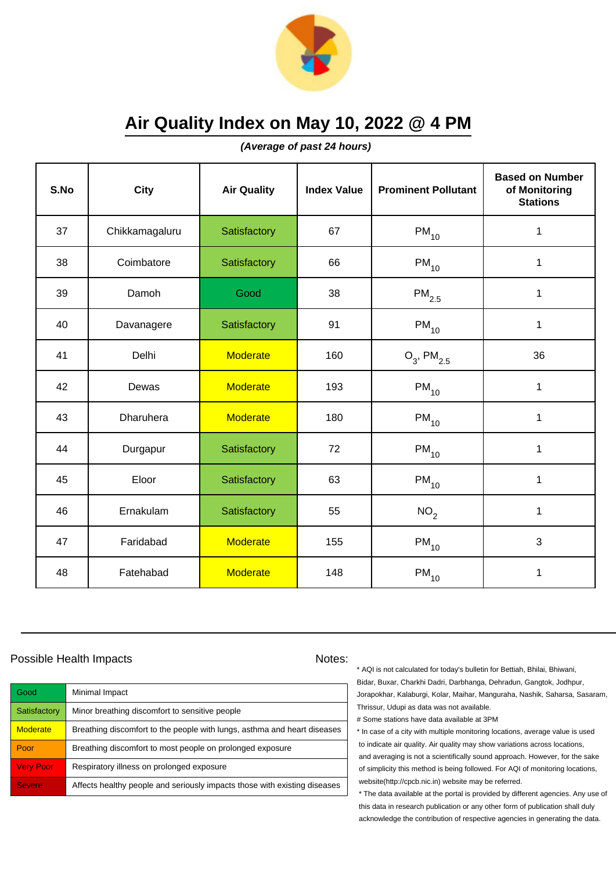

**(Average of past 24 hours)**

| S.No | <b>City</b>      | <b>Air Quality</b> | <b>Index Value</b> | <b>Prominent Pollutant</b> | <b>Based on Number</b><br>of Monitoring<br><b>Stations</b> |
|------|------------------|--------------------|--------------------|----------------------------|------------------------------------------------------------|
| 37   | Chikkamagaluru   | Satisfactory       | 67                 | $PM_{10}$                  | $\mathbf 1$                                                |
| 38   | Coimbatore       | Satisfactory       | 66                 | $\mathsf{PM}_{10}$         | 1                                                          |
| 39   | Damoh            | Good               | 38                 | $\mathsf{PM}_{2.5}$        | 1                                                          |
| 40   | Davanagere       | Satisfactory       | 91                 | $PM_{10}$                  | $\mathbf 1$                                                |
| 41   | Delhi            | <b>Moderate</b>    | 160                | $O_3$ , PM <sub>2.5</sub>  | 36                                                         |
| 42   | Dewas            | <b>Moderate</b>    | 193                | $PM_{10}$                  | $\mathbf{1}$                                               |
| 43   | <b>Dharuhera</b> | Moderate           | 180                | $PM_{10}$                  | $\mathbf{1}$                                               |
| 44   | Durgapur         | Satisfactory       | 72                 | $PM_{10}$                  | 1                                                          |
| 45   | Eloor            | Satisfactory       | 63                 | $PM_{10}$                  | $\mathbf 1$                                                |
| 46   | Ernakulam        | Satisfactory       | 55                 | NO <sub>2</sub>            | $\mathbf 1$                                                |
| 47   | Faridabad        | <b>Moderate</b>    | 155                | $PM_{10}$                  | 3                                                          |
| 48   | Fatehabad        | <b>Moderate</b>    | 148                | $\mathsf{PM}_{10}$         | 1                                                          |

### Possible Health Impacts Notes:

| Good             | Minimal Impact                                                            |
|------------------|---------------------------------------------------------------------------|
| Satisfactory     | Minor breathing discomfort to sensitive people                            |
| <b>Moderate</b>  | Breathing discomfort to the people with lungs, asthma and heart diseases  |
| Poor             | Breathing discomfort to most people on prolonged exposure                 |
| <b>Very Poor</b> | Respiratory illness on prolonged exposure                                 |
| <b>Severe</b>    | Affects healthy people and seriously impacts those with existing diseases |

\* AQI is not calculated for today's bulletin for Bettiah, Bhilai, Bhiwani, Bidar, Buxar, Charkhi Dadri, Darbhanga, Dehradun, Gangtok, Jodhpur, Jorapokhar, Kalaburgi, Kolar, Maihar, Manguraha, Nashik, Saharsa, Sasaram, Thrissur, Udupi as data was not available.

# Some stations have data available at 3PM

\* In case of a city with multiple monitoring locations, average value is used to indicate air quality. Air quality may show variations across locations, and averaging is not a scientifically sound approach. However, for the sake of simplicity this method is being followed. For AQI of monitoring locations, website(http://cpcb.nic.in) website may be referred.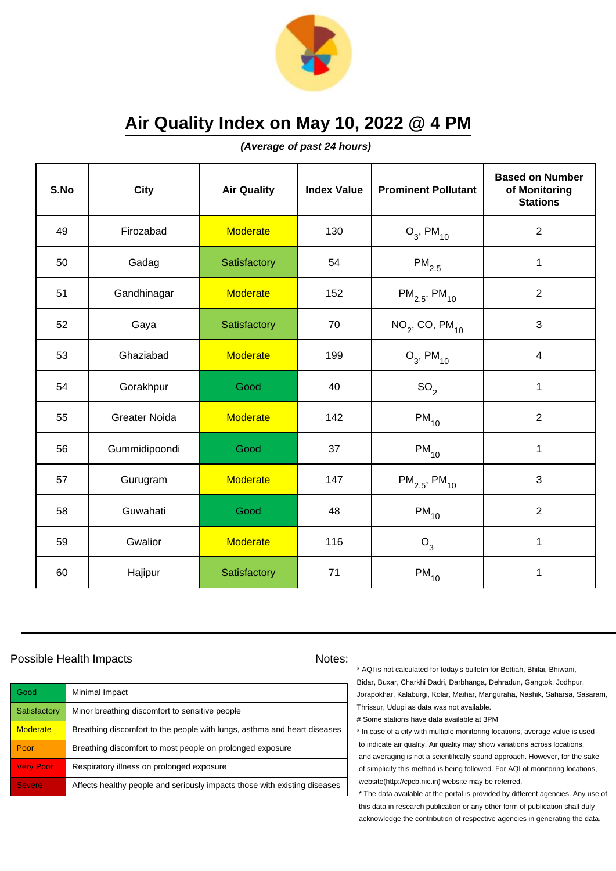

**(Average of past 24 hours)**

| S.No | <b>City</b>          | <b>Air Quality</b> | <b>Index Value</b> | <b>Prominent Pollutant</b>    | <b>Based on Number</b><br>of Monitoring<br><b>Stations</b> |
|------|----------------------|--------------------|--------------------|-------------------------------|------------------------------------------------------------|
| 49   | Firozabad            | <b>Moderate</b>    | 130                | $O_3$ , PM <sub>10</sub>      | $\overline{2}$                                             |
| 50   | Gadag                | Satisfactory       | 54                 | $\mathsf{PM}_{2.5}$           | $\mathbf 1$                                                |
| 51   | Gandhinagar          | <b>Moderate</b>    | 152                | $PM_{2.5}$ , PM <sub>10</sub> | $\overline{2}$                                             |
| 52   | Gaya                 | Satisfactory       | 70                 | $NO2$ , CO, PM <sub>10</sub>  | 3                                                          |
| 53   | Ghaziabad            | <b>Moderate</b>    | 199                | $O_3$ , PM <sub>10</sub>      | $\overline{\mathbf{4}}$                                    |
| 54   | Gorakhpur            | Good               | 40                 | SO <sub>2</sub>               | 1                                                          |
| 55   | <b>Greater Noida</b> | <b>Moderate</b>    | 142                | $PM_{10}$                     | $\overline{2}$                                             |
| 56   | Gummidipoondi        | Good               | 37                 | $PM_{10}$                     | $\mathbf{1}$                                               |
| 57   | Gurugram             | <b>Moderate</b>    | 147                | $PM_{2.5}$ , PM <sub>10</sub> | 3                                                          |
| 58   | Guwahati             | Good               | 48                 | $PM_{10}$                     | $\overline{2}$                                             |
| 59   | Gwalior              | <b>Moderate</b>    | 116                | $O_3$                         | $\mathbf{1}$                                               |
| 60   | Hajipur              | Satisfactory       | 71                 | $PM_{10}$                     | 1                                                          |

### Possible Health Impacts Notes:

| Good             | Minimal Impact                                                            |
|------------------|---------------------------------------------------------------------------|
| Satisfactory     | Minor breathing discomfort to sensitive people                            |
| <b>Moderate</b>  | Breathing discomfort to the people with lungs, asthma and heart diseases  |
| Poor             | Breathing discomfort to most people on prolonged exposure                 |
| <b>Very Poor</b> | Respiratory illness on prolonged exposure                                 |
| <b>Severe</b>    | Affects healthy people and seriously impacts those with existing diseases |

\* AQI is not calculated for today's bulletin for Bettiah, Bhilai, Bhiwani, Bidar, Buxar, Charkhi Dadri, Darbhanga, Dehradun, Gangtok, Jodhpur, Jorapokhar, Kalaburgi, Kolar, Maihar, Manguraha, Nashik, Saharsa, Sasaram, Thrissur, Udupi as data was not available.

# Some stations have data available at 3PM

\* In case of a city with multiple monitoring locations, average value is used to indicate air quality. Air quality may show variations across locations, and averaging is not a scientifically sound approach. However, for the sake of simplicity this method is being followed. For AQI of monitoring locations, website(http://cpcb.nic.in) website may be referred.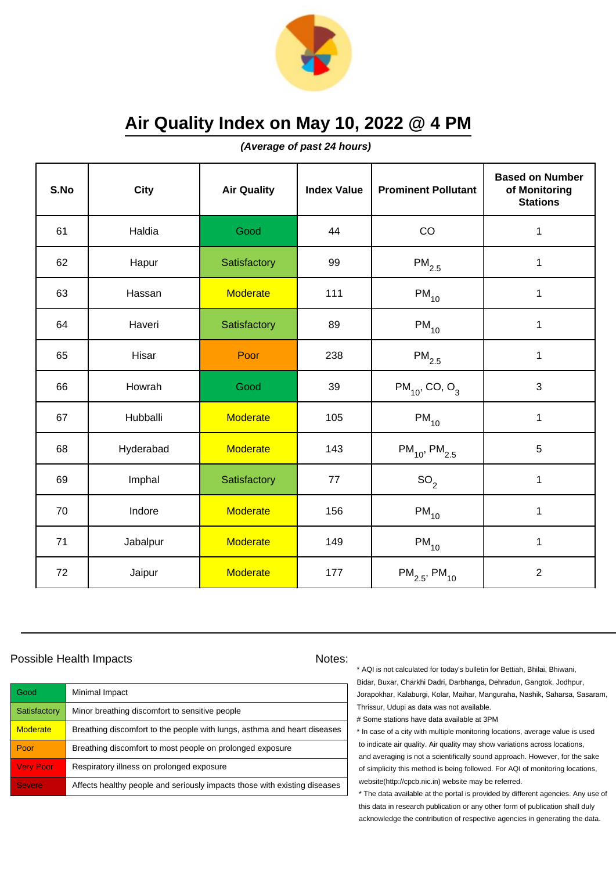

**(Average of past 24 hours)**

| S.No | <b>City</b> | <b>Air Quality</b> | <b>Index Value</b> | <b>Prominent Pollutant</b>     | <b>Based on Number</b><br>of Monitoring<br><b>Stations</b> |
|------|-------------|--------------------|--------------------|--------------------------------|------------------------------------------------------------|
| 61   | Haldia      | Good               | 44                 | CO                             | $\mathbf 1$                                                |
| 62   | Hapur       | Satisfactory       | 99                 | $\mathsf{PM}_{2.5}$            | $\mathbf 1$                                                |
| 63   | Hassan      | <b>Moderate</b>    | 111                | $PM_{10}$                      | 1                                                          |
| 64   | Haveri      | Satisfactory       | 89                 | $PM_{10}$                      | 1                                                          |
| 65   | Hisar       | Poor               | 238                | $PM_{2.5}$                     | $\mathbf 1$                                                |
| 66   | Howrah      | Good               | 39                 | $PM_{10}$ , CO, O <sub>3</sub> | $\mathbf{3}$                                               |
| 67   | Hubballi    | <b>Moderate</b>    | 105                | $PM_{10}$                      | $\mathbf 1$                                                |
| 68   | Hyderabad   | <b>Moderate</b>    | 143                | $PM_{10}$ , PM <sub>2.5</sub>  | 5                                                          |
| 69   | Imphal      | Satisfactory       | 77                 | SO <sub>2</sub>                | $\mathbf 1$                                                |
| 70   | Indore      | <b>Moderate</b>    | 156                | $PM_{10}$                      | $\mathbf 1$                                                |
| 71   | Jabalpur    | <b>Moderate</b>    | 149                | $PM_{10}$                      | $\mathbf{1}$                                               |
| 72   | Jaipur      | <b>Moderate</b>    | 177                | $PM_{2.5}$ , PM <sub>10</sub>  | $\overline{2}$                                             |

### Possible Health Impacts Notes:

| Good             | Minimal Impact                                                            |
|------------------|---------------------------------------------------------------------------|
| Satisfactory     | Minor breathing discomfort to sensitive people                            |
| <b>Moderate</b>  | Breathing discomfort to the people with lungs, asthma and heart diseases  |
| Poor             | Breathing discomfort to most people on prolonged exposure                 |
| <b>Very Poor</b> | Respiratory illness on prolonged exposure                                 |
| <b>Severe</b>    | Affects healthy people and seriously impacts those with existing diseases |

\* AQI is not calculated for today's bulletin for Bettiah, Bhilai, Bhiwani, Bidar, Buxar, Charkhi Dadri, Darbhanga, Dehradun, Gangtok, Jodhpur, Jorapokhar, Kalaburgi, Kolar, Maihar, Manguraha, Nashik, Saharsa, Sasaram, Thrissur, Udupi as data was not available.

# Some stations have data available at 3PM

\* In case of a city with multiple monitoring locations, average value is used to indicate air quality. Air quality may show variations across locations, and averaging is not a scientifically sound approach. However, for the sake of simplicity this method is being followed. For AQI of monitoring locations, website(http://cpcb.nic.in) website may be referred.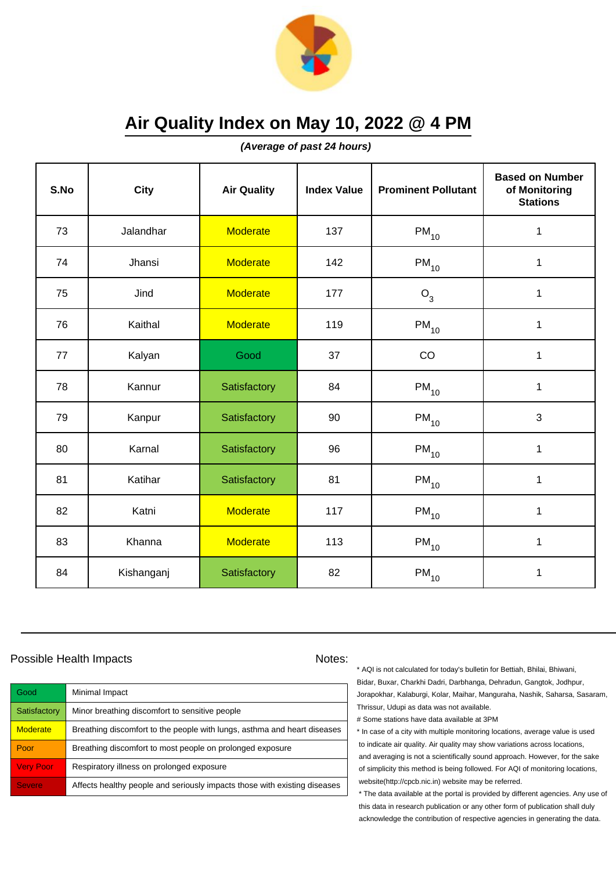

**(Average of past 24 hours)**

| S.No | <b>City</b> | <b>Air Quality</b> | <b>Index Value</b> | <b>Prominent Pollutant</b> | <b>Based on Number</b><br>of Monitoring<br><b>Stations</b> |
|------|-------------|--------------------|--------------------|----------------------------|------------------------------------------------------------|
| 73   | Jalandhar   | <b>Moderate</b>    | 137                | $PM_{10}$                  | $\mathbf 1$                                                |
| 74   | Jhansi      | <b>Moderate</b>    | 142                | $PM_{10}$                  | $\mathbf 1$                                                |
| 75   | Jind        | <b>Moderate</b>    | 177                | $O_3$                      | $\mathbf 1$                                                |
| 76   | Kaithal     | <b>Moderate</b>    | 119                | $PM_{10}$                  | 1                                                          |
| 77   | Kalyan      | Good               | 37                 | CO                         | $\mathbf 1$                                                |
| 78   | Kannur      | Satisfactory       | 84                 | $PM_{10}$                  | $\mathbf 1$                                                |
| 79   | Kanpur      | Satisfactory       | 90                 | $\mathsf{PM}_{10}$         | 3                                                          |
| 80   | Karnal      | Satisfactory       | 96                 | $PM_{10}$                  | $\mathbf{1}$                                               |
| 81   | Katihar     | Satisfactory       | 81                 | $PM_{10}$                  | $\mathbf 1$                                                |
| 82   | Katni       | <b>Moderate</b>    | 117                | $\mathsf{PM}_{10}$         | $\mathbf 1$                                                |
| 83   | Khanna      | <b>Moderate</b>    | 113                | $PM_{10}$                  | $\mathbf{1}$                                               |
| 84   | Kishanganj  | Satisfactory       | 82                 | $PM_{10}$                  | $\mathbf 1$                                                |

### Possible Health Impacts Notes:

| Good             | Minimal Impact                                                            |
|------------------|---------------------------------------------------------------------------|
| Satisfactory     | Minor breathing discomfort to sensitive people                            |
| <b>Moderate</b>  | Breathing discomfort to the people with lungs, asthma and heart diseases  |
| Poor             | Breathing discomfort to most people on prolonged exposure                 |
| <b>Very Poor</b> | Respiratory illness on prolonged exposure                                 |
| <b>Severe</b>    | Affects healthy people and seriously impacts those with existing diseases |

\* AQI is not calculated for today's bulletin for Bettiah, Bhilai, Bhiwani, Bidar, Buxar, Charkhi Dadri, Darbhanga, Dehradun, Gangtok, Jodhpur, Jorapokhar, Kalaburgi, Kolar, Maihar, Manguraha, Nashik, Saharsa, Sasaram, Thrissur, Udupi as data was not available.

# Some stations have data available at 3PM

\* In case of a city with multiple monitoring locations, average value is used to indicate air quality. Air quality may show variations across locations, and averaging is not a scientifically sound approach. However, for the sake of simplicity this method is being followed. For AQI of monitoring locations, website(http://cpcb.nic.in) website may be referred.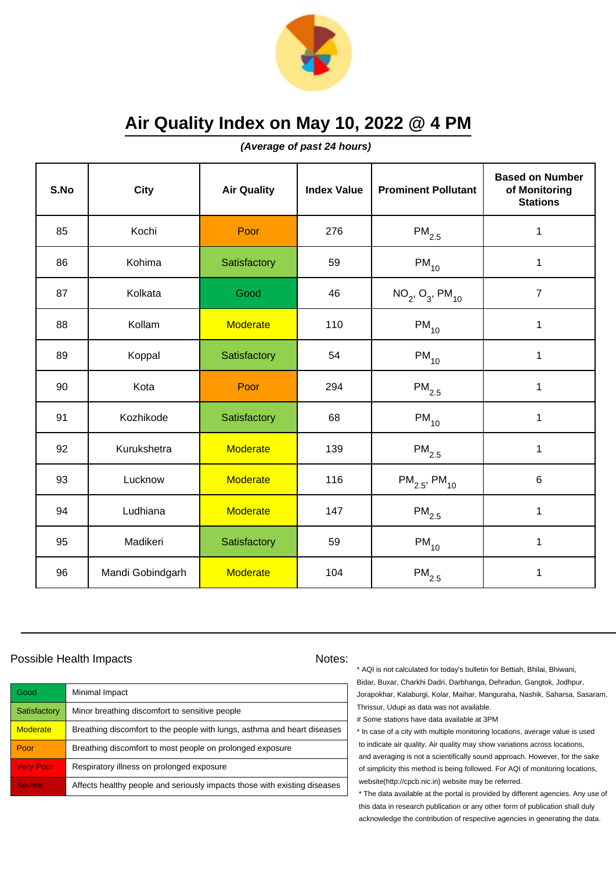

**(Average of past 24 hours)**

| S.No | <b>City</b>      | <b>Air Quality</b> | <b>Index Value</b> | <b>Prominent Pollutant</b>    | <b>Based on Number</b><br>of Monitoring<br><b>Stations</b> |
|------|------------------|--------------------|--------------------|-------------------------------|------------------------------------------------------------|
| 85   | Kochi            | Poor               | 276                | $PM_{2.5}$                    | $\mathbf 1$                                                |
| 86   | Kohima           | Satisfactory       | 59                 | $PM_{10}$                     | 1                                                          |
| 87   | Kolkata          | Good               | 46                 | $NO_2$ , $O_3$ , $PM_{10}$    | $\overline{7}$                                             |
| 88   | Kollam           | <b>Moderate</b>    | 110                | $PM_{10}$                     | $\mathbf{1}$                                               |
| 89   | Koppal           | Satisfactory       | 54                 | $\mathsf{PM}_{10}$            | $\mathbf{1}$                                               |
| 90   | Kota             | Poor               | 294                | $\mathsf{PM}_{2.5}$           | 1                                                          |
| 91   | Kozhikode        | Satisfactory       | 68                 | $PM_{10}$                     | $\mathbf{1}$                                               |
| 92   | Kurukshetra      | <b>Moderate</b>    | 139                | $PM_{2.5}$                    | $\mathbf{1}$                                               |
| 93   | Lucknow          | <b>Moderate</b>    | 116                | $PM_{2.5}$ , PM <sub>10</sub> | 6                                                          |
| 94   | Ludhiana         | <b>Moderate</b>    | 147                | $\mathsf{PM}_{2.5}$           | $\mathbf 1$                                                |
| 95   | Madikeri         | Satisfactory       | 59                 | $PM_{10}$                     | 1                                                          |
| 96   | Mandi Gobindgarh | <b>Moderate</b>    | 104                | $\mathsf{PM}_{2.5}$           | $\mathbf 1$                                                |

### Possible Health Impacts Notes:

| Good             | Minimal Impact                                                            |
|------------------|---------------------------------------------------------------------------|
| Satisfactory     | Minor breathing discomfort to sensitive people                            |
| <b>Moderate</b>  | Breathing discomfort to the people with lungs, asthma and heart diseases  |
| Poor             | Breathing discomfort to most people on prolonged exposure                 |
| <b>Very Poor</b> | Respiratory illness on prolonged exposure                                 |
| <b>Severe</b>    | Affects healthy people and seriously impacts those with existing diseases |

\* AQI is not calculated for today's bulletin for Bettiah, Bhilai, Bhiwani, Bidar, Buxar, Charkhi Dadri, Darbhanga, Dehradun, Gangtok, Jodhpur, Jorapokhar, Kalaburgi, Kolar, Maihar, Manguraha, Nashik, Saharsa, Sasaram, Thrissur, Udupi as data was not available.

# Some stations have data available at 3PM

\* In case of a city with multiple monitoring locations, average value is used to indicate air quality. Air quality may show variations across locations, and averaging is not a scientifically sound approach. However, for the sake of simplicity this method is being followed. For AQI of monitoring locations, website(http://cpcb.nic.in) website may be referred.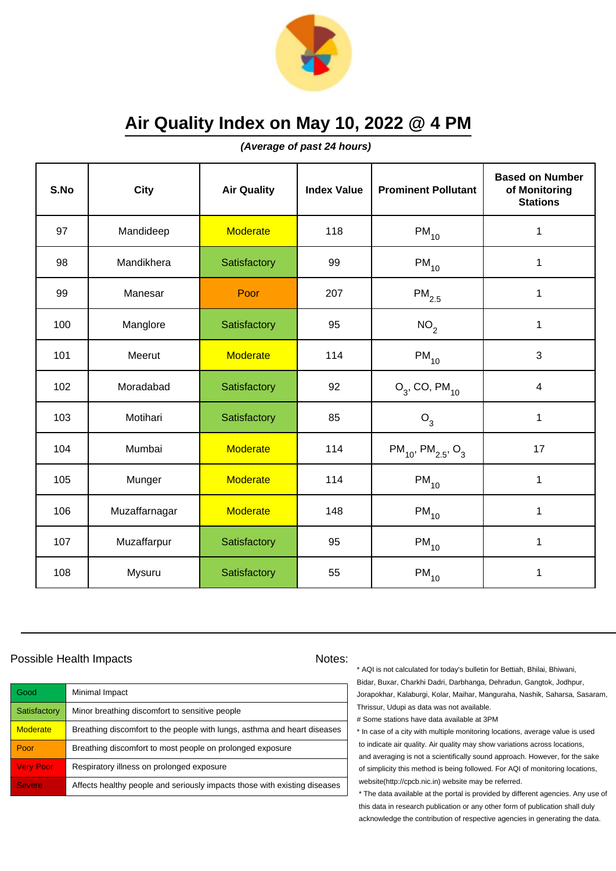

**(Average of past 24 hours)**

| S.No | <b>City</b>   | <b>Air Quality</b> | <b>Index Value</b> | <b>Prominent Pollutant</b>                     | <b>Based on Number</b><br>of Monitoring<br><b>Stations</b> |
|------|---------------|--------------------|--------------------|------------------------------------------------|------------------------------------------------------------|
| 97   | Mandideep     | <b>Moderate</b>    | 118                | $PM_{10}$                                      | $\mathbf 1$                                                |
| 98   | Mandikhera    | Satisfactory       | 99                 | $PM_{10}$                                      | $\mathbf 1$                                                |
| 99   | Manesar       | Poor               | 207                | $\mathsf{PM}_{2.5}$                            | 1                                                          |
| 100  | Manglore      | Satisfactory       | 95                 | NO <sub>2</sub>                                | 1                                                          |
| 101  | Meerut        | <b>Moderate</b>    | 114                | $PM_{10}$                                      | 3                                                          |
| 102  | Moradabad     | Satisfactory       | 92                 | $O_3$ , CO, PM <sub>10</sub>                   | 4                                                          |
| 103  | Motihari      | Satisfactory       | 85                 | $O_3$                                          | 1                                                          |
| 104  | Mumbai        | <b>Moderate</b>    | 114                | $PM_{10}$ , PM <sub>2.5</sub> , O <sub>3</sub> | 17                                                         |
| 105  | Munger        | <b>Moderate</b>    | 114                | $PM_{10}$                                      | $\mathbf 1$                                                |
| 106  | Muzaffarnagar | <b>Moderate</b>    | 148                | $PM_{10}$                                      | 1                                                          |
| 107  | Muzaffarpur   | Satisfactory       | 95                 | $PM_{10}$                                      | 1                                                          |
| 108  | Mysuru        | Satisfactory       | 55                 | $\mathsf{PM}_{10}$                             | 1                                                          |

### Possible Health Impacts Notes:

| Good             | Minimal Impact                                                            |
|------------------|---------------------------------------------------------------------------|
| Satisfactory     | Minor breathing discomfort to sensitive people                            |
| <b>Moderate</b>  | Breathing discomfort to the people with lungs, asthma and heart diseases  |
| Poor             | Breathing discomfort to most people on prolonged exposure                 |
| <b>Very Poor</b> | Respiratory illness on prolonged exposure                                 |
| <b>Severe</b>    | Affects healthy people and seriously impacts those with existing diseases |

\* AQI is not calculated for today's bulletin for Bettiah, Bhilai, Bhiwani, Bidar, Buxar, Charkhi Dadri, Darbhanga, Dehradun, Gangtok, Jodhpur, Jorapokhar, Kalaburgi, Kolar, Maihar, Manguraha, Nashik, Saharsa, Sasaram, Thrissur, Udupi as data was not available.

# Some stations have data available at 3PM

\* In case of a city with multiple monitoring locations, average value is used to indicate air quality. Air quality may show variations across locations, and averaging is not a scientifically sound approach. However, for the sake of simplicity this method is being followed. For AQI of monitoring locations, website(http://cpcb.nic.in) website may be referred.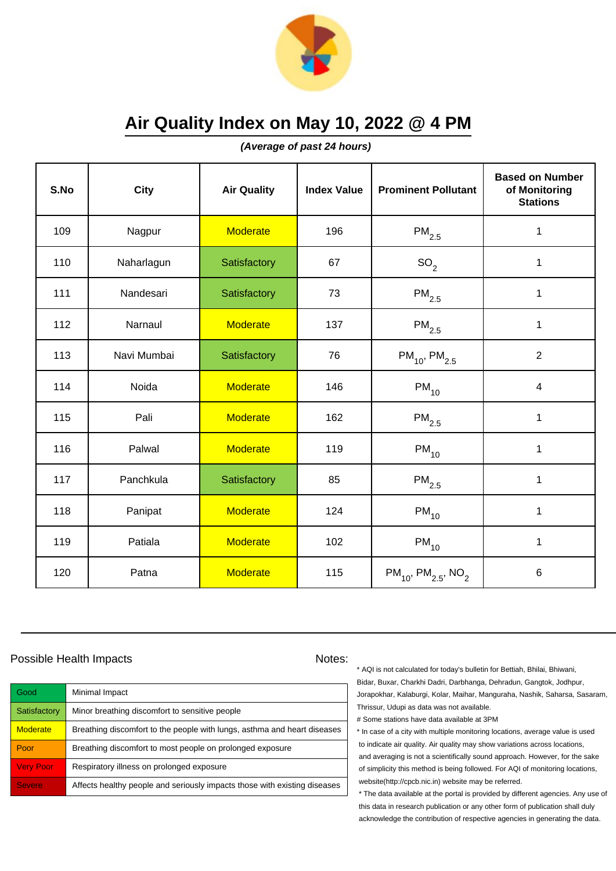

**(Average of past 24 hours)**

| S.No | City        | <b>Air Quality</b> | <b>Index Value</b> | <b>Prominent Pollutant</b>                      | <b>Based on Number</b><br>of Monitoring<br><b>Stations</b> |
|------|-------------|--------------------|--------------------|-------------------------------------------------|------------------------------------------------------------|
| 109  | Nagpur      | <b>Moderate</b>    | 196                | $PM_{2.5}$                                      | 1                                                          |
| 110  | Naharlagun  | Satisfactory       | 67                 | SO <sub>2</sub>                                 | 1                                                          |
| 111  | Nandesari   | Satisfactory       | 73                 | $\mathsf{PM}_{2.5}$                             | 1                                                          |
| 112  | Narnaul     | <b>Moderate</b>    | 137                | $\mathsf{PM}_{2.5}$                             | 1                                                          |
| 113  | Navi Mumbai | Satisfactory       | 76                 | $PM_{10}$ , PM <sub>2.5</sub>                   | $\overline{2}$                                             |
| 114  | Noida       | <b>Moderate</b>    | 146                | $PM_{10}$                                       | $\overline{4}$                                             |
| 115  | Pali        | <b>Moderate</b>    | 162                | $\mathsf{PM}_{2.5}$                             | 1                                                          |
| 116  | Palwal      | <b>Moderate</b>    | 119                | $PM_{10}$                                       | 1                                                          |
| 117  | Panchkula   | Satisfactory       | 85                 | $PM_{2.5}$                                      | $\mathbf 1$                                                |
| 118  | Panipat     | <b>Moderate</b>    | 124                | $PM_{10}$                                       | 1                                                          |
| 119  | Patiala     | <b>Moderate</b>    | 102                | $PM_{10}$                                       | 1                                                          |
| 120  | Patna       | <b>Moderate</b>    | 115                | $PM_{10}$ , PM <sub>2.5</sub> , NO <sub>2</sub> | $6\phantom{1}$                                             |

### Possible Health Impacts Notes: Notes:

Good Minimal Impact Satisfactory | Minor breathing discomfort to sensitive people Moderate **Breathing discomfort to the people with lungs**, asthma and heart diseases Poor Breathing discomfort to most people on prolonged exposure Very Poor Respiratory illness on prolonged exposure Severe **Affects healthy people and seriously impacts those with existing diseases** 

\* AQI is not calculated for today's bulletin for Bettiah, Bhilai, Bhiwani, Bidar, Buxar, Charkhi Dadri, Darbhanga, Dehradun, Gangtok, Jodhpur, Jorapokhar, Kalaburgi, Kolar, Maihar, Manguraha, Nashik, Saharsa, Sasaram, Thrissur, Udupi as data was not available.

# Some stations have data available at 3PM

\* In case of a city with multiple monitoring locations, average value is used to indicate air quality. Air quality may show variations across locations, and averaging is not a scientifically sound approach. However, for the sake of simplicity this method is being followed. For AQI of monitoring locations, website(http://cpcb.nic.in) website may be referred.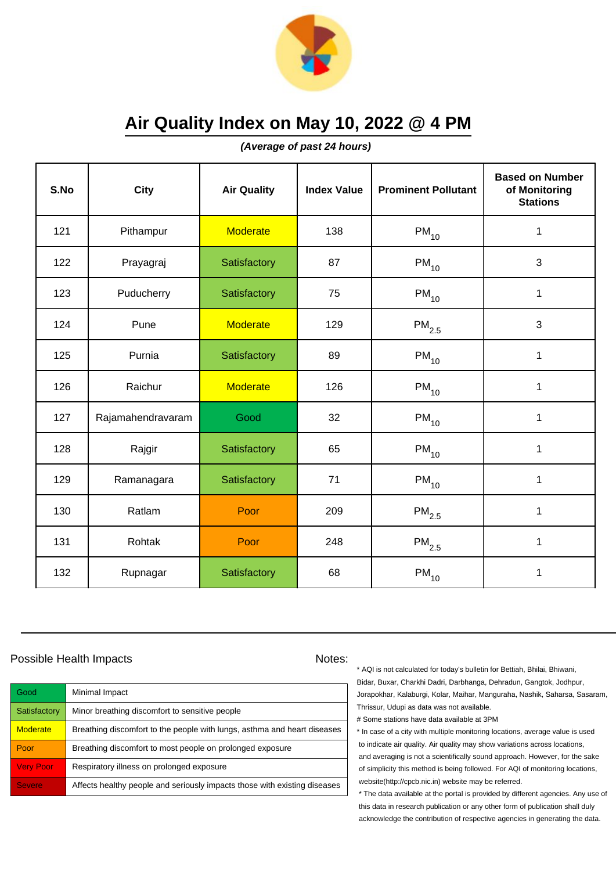

**(Average of past 24 hours)**

| S.No | <b>City</b>       | <b>Air Quality</b> | <b>Index Value</b> | <b>Prominent Pollutant</b> | <b>Based on Number</b><br>of Monitoring<br><b>Stations</b> |
|------|-------------------|--------------------|--------------------|----------------------------|------------------------------------------------------------|
| 121  | Pithampur         | <b>Moderate</b>    | 138                | $PM_{10}$                  | $\mathbf 1$                                                |
| 122  | Prayagraj         | Satisfactory       | 87                 | $PM_{10}$                  | 3                                                          |
| 123  | Puducherry        | Satisfactory       | 75                 | $PM_{10}$                  | 1                                                          |
| 124  | Pune              | <b>Moderate</b>    | 129                | $PM_{2.5}$                 | 3                                                          |
| 125  | Purnia            | Satisfactory       | 89                 | $PM_{10}$                  | $\mathbf 1$                                                |
| 126  | Raichur           | <b>Moderate</b>    | 126                | $PM_{10}$                  | 1                                                          |
| 127  | Rajamahendravaram | Good               | 32                 | $PM_{10}$                  | 1                                                          |
| 128  | Rajgir            | Satisfactory       | 65                 | $PM_{10}$                  | $\mathbf{1}$                                               |
| 129  | Ramanagara        | Satisfactory       | 71                 | $PM_{10}$                  | $\mathbf{1}$                                               |
| 130  | Ratlam            | Poor               | 209                | $\mathsf{PM}_{2.5}$        | 1                                                          |
| 131  | Rohtak            | Poor               | 248                | $\mathsf{PM}_{2.5}$        | 1                                                          |
| 132  | Rupnagar          | Satisfactory       | 68                 | $PM_{10}$                  | 1                                                          |

### Possible Health Impacts Notes:

| Good             | Minimal Impact                                                            |
|------------------|---------------------------------------------------------------------------|
| Satisfactory     | Minor breathing discomfort to sensitive people                            |
| <b>Moderate</b>  | Breathing discomfort to the people with lungs, asthma and heart diseases  |
| Poor             | Breathing discomfort to most people on prolonged exposure                 |
| <b>Very Poor</b> | Respiratory illness on prolonged exposure                                 |
| <b>Severe</b>    | Affects healthy people and seriously impacts those with existing diseases |

\* AQI is not calculated for today's bulletin for Bettiah, Bhilai, Bhiwani, Bidar, Buxar, Charkhi Dadri, Darbhanga, Dehradun, Gangtok, Jodhpur, Jorapokhar, Kalaburgi, Kolar, Maihar, Manguraha, Nashik, Saharsa, Sasaram, Thrissur, Udupi as data was not available.

# Some stations have data available at 3PM

\* In case of a city with multiple monitoring locations, average value is used to indicate air quality. Air quality may show variations across locations, and averaging is not a scientifically sound approach. However, for the sake of simplicity this method is being followed. For AQI of monitoring locations, website(http://cpcb.nic.in) website may be referred.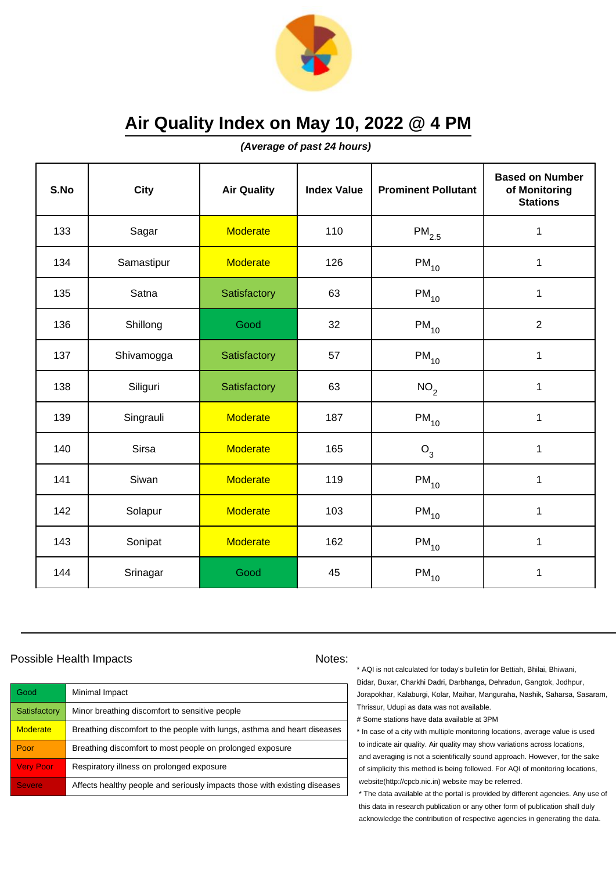

**(Average of past 24 hours)**

| S.No | <b>City</b>  | <b>Air Quality</b> | <b>Index Value</b> | <b>Prominent Pollutant</b> | <b>Based on Number</b><br>of Monitoring<br><b>Stations</b> |
|------|--------------|--------------------|--------------------|----------------------------|------------------------------------------------------------|
| 133  | Sagar        | <b>Moderate</b>    | 110                | $PM_{2.5}$                 | $\mathbf 1$                                                |
| 134  | Samastipur   | <b>Moderate</b>    | 126                | $PM_{10}$                  | $\mathbf 1$                                                |
| 135  | Satna        | Satisfactory       | 63                 | $PM_{10}$                  | 1                                                          |
| 136  | Shillong     | Good               | 32                 | $PM_{10}$                  | $\overline{2}$                                             |
| 137  | Shivamogga   | Satisfactory       | 57                 | $PM_{10}$                  | $\mathbf 1$                                                |
| 138  | Siliguri     | Satisfactory       | 63                 | NO <sub>2</sub>            | 1                                                          |
| 139  | Singrauli    | <b>Moderate</b>    | 187                | $\mathsf{PM}_{10}$         | 1                                                          |
| 140  | <b>Sirsa</b> | <b>Moderate</b>    | 165                | $O_3$                      | 1                                                          |
| 141  | Siwan        | <b>Moderate</b>    | 119                | $PM_{10}$                  | $\mathbf 1$                                                |
| 142  | Solapur      | <b>Moderate</b>    | 103                | $\mathsf{PM}_{10}$         | 1                                                          |
| 143  | Sonipat      | <b>Moderate</b>    | 162                | $PM_{10}$                  | 1                                                          |
| 144  | Srinagar     | Good               | 45                 | $\mathsf{PM}_{10}$         | 1                                                          |

### Possible Health Impacts Notes:

| Good             | Minimal Impact                                                            |
|------------------|---------------------------------------------------------------------------|
| Satisfactory     | Minor breathing discomfort to sensitive people                            |
| <b>Moderate</b>  | Breathing discomfort to the people with lungs, asthma and heart diseases  |
| Poor             | Breathing discomfort to most people on prolonged exposure                 |
| <b>Very Poor</b> | Respiratory illness on prolonged exposure                                 |
| <b>Severe</b>    | Affects healthy people and seriously impacts those with existing diseases |

\* AQI is not calculated for today's bulletin for Bettiah, Bhilai, Bhiwani, Bidar, Buxar, Charkhi Dadri, Darbhanga, Dehradun, Gangtok, Jodhpur, Jorapokhar, Kalaburgi, Kolar, Maihar, Manguraha, Nashik, Saharsa, Sasaram, Thrissur, Udupi as data was not available.

# Some stations have data available at 3PM

\* In case of a city with multiple monitoring locations, average value is used to indicate air quality. Air quality may show variations across locations, and averaging is not a scientifically sound approach. However, for the sake of simplicity this method is being followed. For AQI of monitoring locations, website(http://cpcb.nic.in) website may be referred.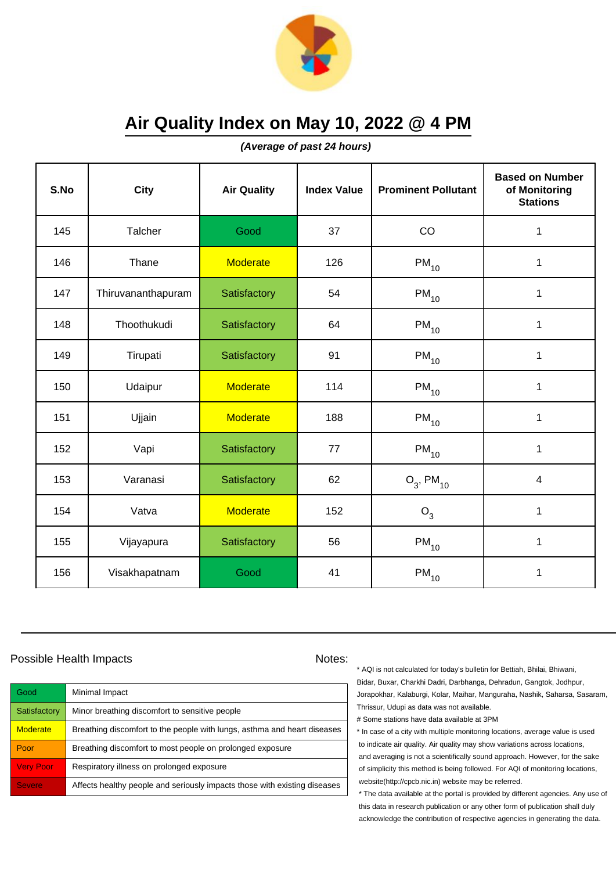

**(Average of past 24 hours)**

| S.No | <b>City</b>        | <b>Air Quality</b> | <b>Index Value</b> | <b>Prominent Pollutant</b> | <b>Based on Number</b><br>of Monitoring<br><b>Stations</b> |
|------|--------------------|--------------------|--------------------|----------------------------|------------------------------------------------------------|
| 145  | Talcher            | Good               | 37                 | CO                         | 1                                                          |
| 146  | Thane              | <b>Moderate</b>    | 126                | $PM_{10}$                  | $\mathbf 1$                                                |
| 147  | Thiruvananthapuram | Satisfactory       | 54                 | $PM_{10}$                  | 1                                                          |
| 148  | Thoothukudi        | Satisfactory       | 64                 | $PM_{10}$                  | 1                                                          |
| 149  | Tirupati           | Satisfactory       | 91                 | $PM_{10}$                  | $\mathbf 1$                                                |
| 150  | Udaipur            | <b>Moderate</b>    | 114                | $PM_{10}$                  | 1                                                          |
| 151  | Ujjain             | <b>Moderate</b>    | 188                | $PM_{10}$                  | 1                                                          |
| 152  | Vapi               | Satisfactory       | 77                 | $PM_{10}$                  | $\mathbf 1$                                                |
| 153  | Varanasi           | Satisfactory       | 62                 | $O_3$ , PM <sub>10</sub>   | $\overline{\mathbf{4}}$                                    |
| 154  | Vatva              | <b>Moderate</b>    | 152                | $O_3$                      | 1                                                          |
| 155  | Vijayapura         | Satisfactory       | 56                 | $\mathsf{PM}_{10}$         | $\mathbf{1}$                                               |
| 156  | Visakhapatnam      | Good               | 41                 | $\mathsf{PM}_{10}$         | 1                                                          |

### Possible Health Impacts Notes:

| Good             | Minimal Impact                                                            |
|------------------|---------------------------------------------------------------------------|
| Satisfactory     | Minor breathing discomfort to sensitive people                            |
| <b>Moderate</b>  | Breathing discomfort to the people with lungs, asthma and heart diseases  |
| Poor             | Breathing discomfort to most people on prolonged exposure                 |
| <b>Very Poor</b> | Respiratory illness on prolonged exposure                                 |
| <b>Severe</b>    | Affects healthy people and seriously impacts those with existing diseases |

\* AQI is not calculated for today's bulletin for Bettiah, Bhilai, Bhiwani, Bidar, Buxar, Charkhi Dadri, Darbhanga, Dehradun, Gangtok, Jodhpur, Jorapokhar, Kalaburgi, Kolar, Maihar, Manguraha, Nashik, Saharsa, Sasaram, Thrissur, Udupi as data was not available.

# Some stations have data available at 3PM

\* In case of a city with multiple monitoring locations, average value is used to indicate air quality. Air quality may show variations across locations, and averaging is not a scientifically sound approach. However, for the sake of simplicity this method is being followed. For AQI of monitoring locations, website(http://cpcb.nic.in) website may be referred.